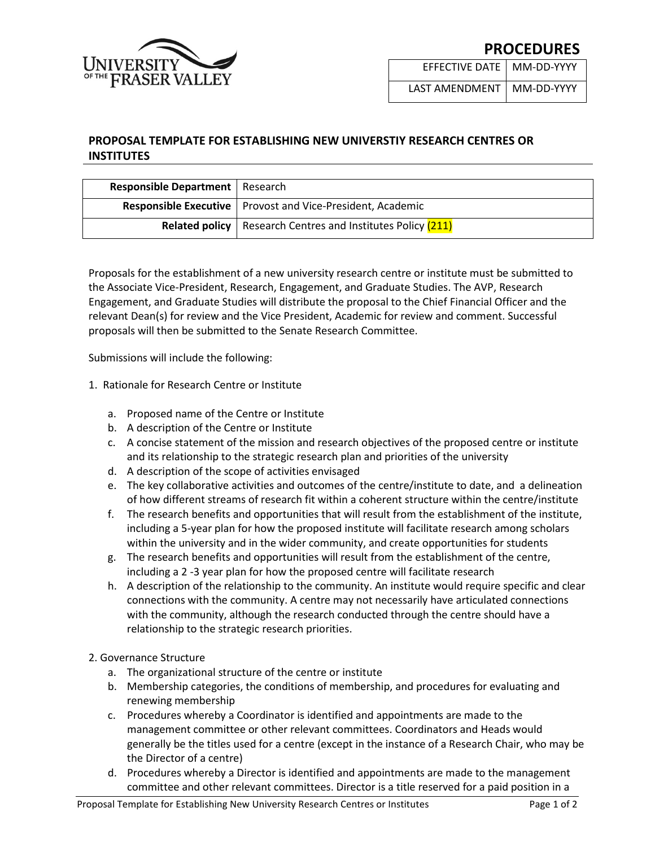

EFFECTIVE DATE MM-DD-YYYY LAST AMENDMENT | MM-DD-YYYY

## **PROPOSAL TEMPLATE FOR ESTABLISHING NEW UNIVERSTIY RESEARCH CENTRES OR INSTITUTES**

| <b>Responsible Department</b>   Research |                                                                      |
|------------------------------------------|----------------------------------------------------------------------|
|                                          | <b>Responsible Executive</b>   Provost and Vice-President, Academic  |
|                                          | <b>Related policy</b>   Research Centres and Institutes Policy (211) |

Proposals for the establishment of a new university research centre or institute must be submitted to the Associate Vice-President, Research, Engagement, and Graduate Studies. The AVP, Research Engagement, and Graduate Studies will distribute the proposal to the Chief Financial Officer and the relevant Dean(s) for review and the Vice President, Academic for review and comment. Successful proposals will then be submitted to the Senate Research Committee.

Submissions will include the following:

- 1. Rationale for Research Centre or Institute
	- a. Proposed name of the Centre or Institute
	- b. A description of the Centre or Institute
	- c. A concise statement of the mission and research objectives of the proposed centre or institute and its relationship to the strategic research plan and priorities of the university
	- d. A description of the scope of activities envisaged
	- e. The key collaborative activities and outcomes of the centre/institute to date, and a delineation of how different streams of research fit within a coherent structure within the centre/institute
	- f. The research benefits and opportunities that will result from the establishment of the institute, including a 5-year plan for how the proposed institute will facilitate research among scholars within the university and in the wider community, and create opportunities for students
	- g. The research benefits and opportunities will result from the establishment of the centre, including a 2 -3 year plan for how the proposed centre will facilitate research
	- h. A description of the relationship to the community. An institute would require specific and clear connections with the community. A centre may not necessarily have articulated connections with the community, although the research conducted through the centre should have a relationship to the strategic research priorities.
- 2. Governance Structure
	- a. The organizational structure of the centre or institute
	- b. Membership categories, the conditions of membership, and procedures for evaluating and renewing membership
	- c. Procedures whereby a Coordinator is identified and appointments are made to the management committee or other relevant committees. Coordinators and Heads would generally be the titles used for a centre (except in the instance of a Research Chair, who may be the Director of a centre)
	- d. Procedures whereby a Director is identified and appointments are made to the management committee and other relevant committees. Director is a title reserved for a paid position in a